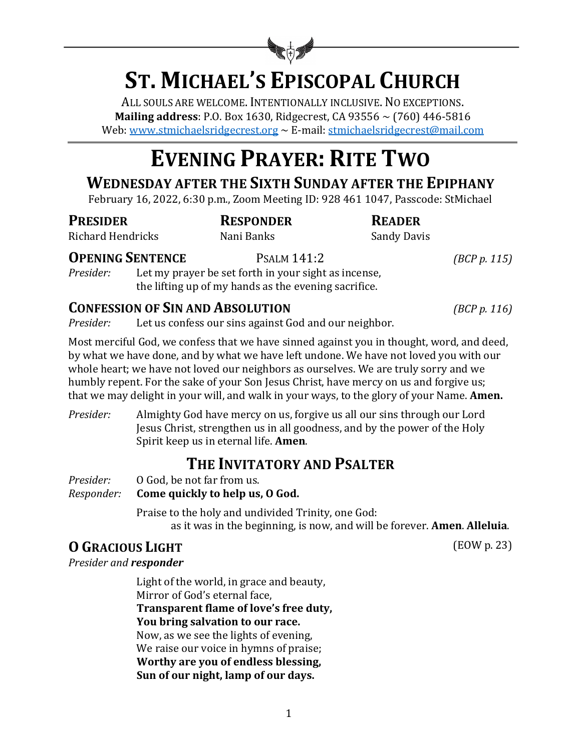

# **ST. MICHAEL'S EPISCOPAL CHURCH**

ALL SOULS ARE WELCOME. INTENTIONALLY INCLUSIVE. NO EXCEPTIONS. **Mailing address**: P.O. Box 1630, Ridgecrest, CA 93556  $\sim$  (760) 446-5816 Web: www.stmichaelsridgecrest.org  $\sim$  E-mail: stmichaelsridgecrest@mail.com

# **EVENING PRAYER: RITE TWO**

# **WEDNESDAY AFTER THE SIXTH SUNDAY AFTER THE EPIPHANY**

February 16, 2022, 6:30 p.m., Zoom Meeting ID: 928 461 1047, Passcode: StMichael

| <b>PRESIDER</b>         | <b>RESPONDER</b>   | <b>READER</b>      |              |
|-------------------------|--------------------|--------------------|--------------|
| Richard Hendricks       | Nani Banks         | <b>Sandy Davis</b> |              |
| <b>OPENING SENTENCE</b> | <b>PSALM 141:2</b> |                    | (BCP p. 115) |

*Presider:* Let my prayer be set forth in your sight as incense, the lifting up of my hands as the evening sacrifice.

### **CONFESSION OF SIN AND ABSOLUTION** *(BCP p. 116)*

*Presider:* Let us confess our sins against God and our neighbor.

Most merciful God, we confess that we have sinned against you in thought, word, and deed, by what we have done, and by what we have left undone. We have not loved you with our whole heart; we have not loved our neighbors as ourselves. We are truly sorry and we humbly repent. For the sake of your Son Jesus Christ, have mercy on us and forgive us; that we may delight in your will, and walk in your ways, to the glory of your Name. **Amen.** 

*Presider:* Almighty God have mercy on us, forgive us all our sins through our Lord Jesus Christ, strengthen us in all goodness, and by the power of the Holy Spirit keep us in eternal life. **Amen**.

# **THE INVITATORY AND PSALTER**

*Presider:* 0 God, be not far from us.

#### *Responder:* **Come quickly to help us, O God.**

Praise to the holy and undivided Trinity, one God:

as it was in the beginning, is now, and will be forever. **Amen. Alleluia**.

# **O GRACIOUS** LIGHT (EOW p. 23)

**Presider** and *responder* 

Light of the world, in grace and beauty, Mirror of God's eternal face, **Transparent flame of love's free duty, You bring salvation to our race.** Now, as we see the lights of evening, We raise our voice in hymns of praise; **Worthy are you of endless blessing, Sun of our night, lamp of our days.**

1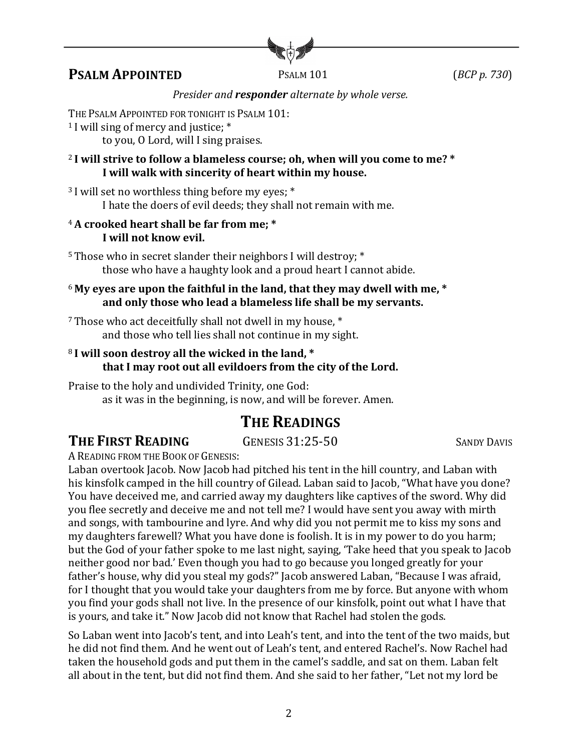

### **PSALM APPOINTED** PSALM 101 (*BCP p. 730*)

#### *Presider and responder alternate by whole verse.*

THE PSALM APPOINTED FOR TONIGHT IS PSALM 101:

<sup>1</sup> I will sing of mercy and justice;  $*$ 

to you, O Lord, will I sing praises.

#### <sup>2</sup> I will strive to follow a blameless course; oh, when will you come to me? \* I will walk with sincerity of heart within my house.

 $3$  I will set no worthless thing before my eyes;  $*$ I hate the doers of evil deeds; they shall not remain with me.

#### <sup>4</sup> A crooked heart shall be far from me; \* **I** will not know evil.

 $5$  Those who in secret slander their neighbors I will destroy;  $*$ those who have a haughty look and a proud heart I cannot abide.

#### $6$  My eyes are upon the faithful in the land, that they may dwell with me,  $*$ and only those who lead a blameless life shall be my servants.

<sup>7</sup> Those who act deceitfully shall not dwell in my house,  $*$ and those who tell lies shall not continue in my sight.

#### <sup>8</sup> I will soon destroy all the wicked in the land, \* that I may root out all evildoers from the city of the Lord.

Praise to the holy and undivided Trinity, one God: as it was in the beginning, is now, and will be forever. Amen.

# **THE READINGS**

# **THE FIRST READING GENESIS 31:25-50** SANDY DAVIS

A READING FROM THE BOOK OF GENESIS:

Laban overtook Jacob. Now Jacob had pitched his tent in the hill country, and Laban with his kinsfolk camped in the hill country of Gilead. Laban said to Jacob, "What have you done? You have deceived me, and carried away my daughters like captives of the sword. Why did you flee secretly and deceive me and not tell me? I would have sent you away with mirth and songs, with tambourine and lyre. And why did you not permit me to kiss my sons and my daughters farewell? What you have done is foolish. It is in my power to do you harm; but the God of your father spoke to me last night, saying, 'Take heed that you speak to Jacob neither good nor bad.' Even though you had to go because you longed greatly for your father's house, why did you steal my gods?" Jacob answered Laban, "Because I was afraid, for I thought that you would take your daughters from me by force. But anyone with whom you find your gods shall not live. In the presence of our kinsfolk, point out what I have that is yours, and take it." Now Jacob did not know that Rachel had stolen the gods.

So Laban went into Jacob's tent, and into Leah's tent, and into the tent of the two maids, but he did not find them. And he went out of Leah's tent, and entered Rachel's. Now Rachel had taken the household gods and put them in the camel's saddle, and sat on them. Laban felt all about in the tent, but did not find them. And she said to her father, "Let not my lord be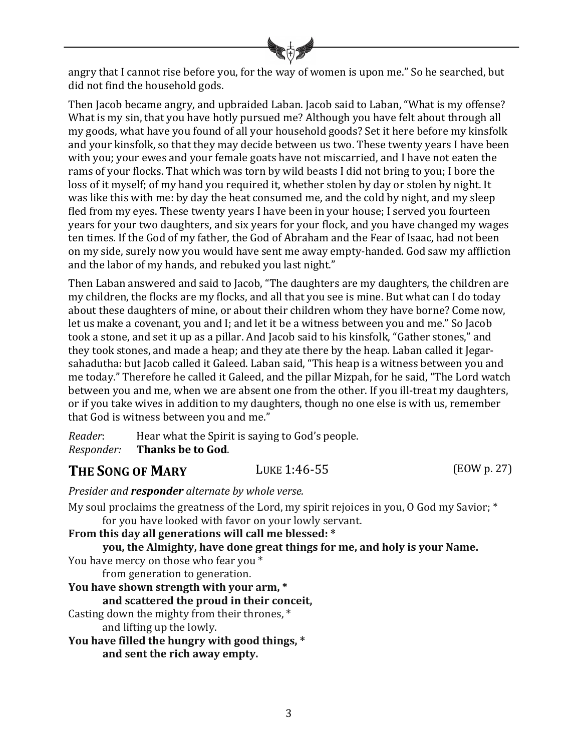

Then Jacob became angry, and upbraided Laban. Jacob said to Laban, "What is my offense? What is my sin, that you have hotly pursued me? Although you have felt about through all my goods, what have you found of all your household goods? Set it here before my kinsfolk and your kinsfolk, so that they may decide between us two. These twenty years I have been with you; your ewes and your female goats have not miscarried, and I have not eaten the rams of your flocks. That which was torn by wild beasts I did not bring to you; I bore the loss of it myself; of my hand you required it, whether stolen by day or stolen by night. It was like this with me: by day the heat consumed me, and the cold by night, and my sleep fled from my eyes. These twenty years I have been in your house; I served you fourteen years for your two daughters, and six years for your flock, and you have changed my wages ten times. If the God of my father, the God of Abraham and the Fear of Isaac, had not been on my side, surely now you would have sent me away empty-handed. God saw my affliction and the labor of my hands, and rebuked you last night."

Then Laban answered and said to Jacob, "The daughters are my daughters, the children are my children, the flocks are my flocks, and all that you see is mine. But what can I do today about these daughters of mine, or about their children whom they have borne? Come now, let us make a covenant, you and I; and let it be a witness between you and me." So Jacob took a stone, and set it up as a pillar. And Jacob said to his kinsfolk, "Gather stones," and they took stones, and made a heap; and they ate there by the heap. Laban called it Jegarsahadutha: but Jacob called it Galeed. Laban said, "This heap is a witness between you and me today." Therefore he called it Galeed, and the pillar Mizpah, for he said, "The Lord watch between you and me, when we are absent one from the other. If you ill-treat my daughters, or if you take wives in addition to my daughters, though no one else is with us, remember that God is witness between you and me."

*Reader*: Hear what the Spirit is saying to God's people.

*Responder:* Thanks be to God.

#### **THE SONG OF MARY** LUKE 1:46-55 (EOW p. 27)

*Presider and responder alternate by whole verse.* 

My soul proclaims the greatness of the Lord, my spirit rejoices in you, O God my Savior;  $*$ for you have looked with favor on your lowly servant.

**From this day all generations will call me blessed: \* you, the Almighty, have done great things for me, and holy is your Name.** You have mercy on those who fear you \* from generation to generation. You have shown strength with your arm,  $*$ **and scattered the proud in their conceit,** Casting down the mighty from their thrones,  $*$ and lifting up the lowly. You have filled the hungry with good things,  $*$ **and sent the rich away empty.**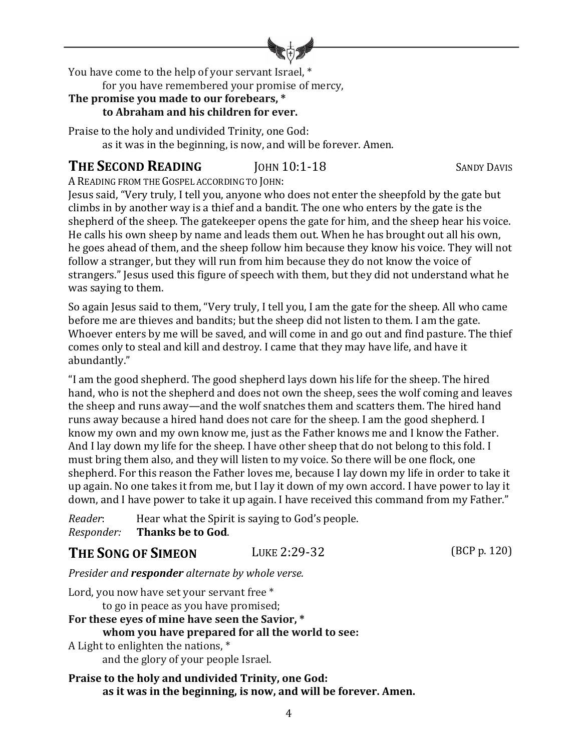

You have come to the help of your servant Israel, \*

for you have remembered your promise of mercy,

# **The promise you made to our forebears, \***

**to Abraham and his children for ever.**

Praise to the holy and undivided Trinity, one God: as it was in the beginning, is now, and will be forever. Amen.

#### **THE SECOND READING** JOHN 10:1-18 SANDY DAVIS

A READING FROM THE GOSPEL ACCORDING TO JOHN:

Jesus said, "Very truly, I tell you, anyone who does not enter the sheepfold by the gate but climbs in by another way is a thief and a bandit. The one who enters by the gate is the shepherd of the sheep. The gatekeeper opens the gate for him, and the sheep hear his voice. He calls his own sheep by name and leads them out. When he has brought out all his own, he goes ahead of them, and the sheep follow him because they know his voice. They will not follow a stranger, but they will run from him because they do not know the voice of strangers." Jesus used this figure of speech with them, but they did not understand what he was saving to them.

So again Jesus said to them, "Very truly, I tell you, I am the gate for the sheep. All who came before me are thieves and bandits; but the sheep did not listen to them. I am the gate. Whoever enters by me will be saved, and will come in and go out and find pasture. The thief comes only to steal and kill and destroy. I came that they may have life, and have it abundantly."

"I am the good shepherd. The good shepherd lays down his life for the sheep. The hired hand, who is not the shepherd and does not own the sheep, sees the wolf coming and leaves the sheep and runs away—and the wolf snatches them and scatters them. The hired hand runs away because a hired hand does not care for the sheep. I am the good shepherd. I know my own and my own know me, just as the Father knows me and I know the Father. And I lay down my life for the sheep. I have other sheep that do not belong to this fold. I must bring them also, and they will listen to my voice. So there will be one flock, one shepherd. For this reason the Father loves me, because I lay down my life in order to take it up again. No one takes it from me, but I lay it down of my own accord. I have power to lay it down, and I have power to take it up again. I have received this command from my Father."

*Reader*: Hear what the Spirit is saying to God's people. *Responder:* **Thanks be to God**.

#### **THE SONG OF SIMEON** LUKE 2:29-32 (BCP p. 120)

*Presider and responder alternate by whole verse.* 

Lord, you now have set your servant free \* to go in peace as you have promised; For these eyes of mine have seen the Savior, \* **whom you have prepared for all the world to see:** A Light to enlighten the nations,  $*$ 

and the glory of your people Israel.

**Praise to the holy and undivided Trinity, one God:** as it was in the beginning, is now, and will be forever. Amen.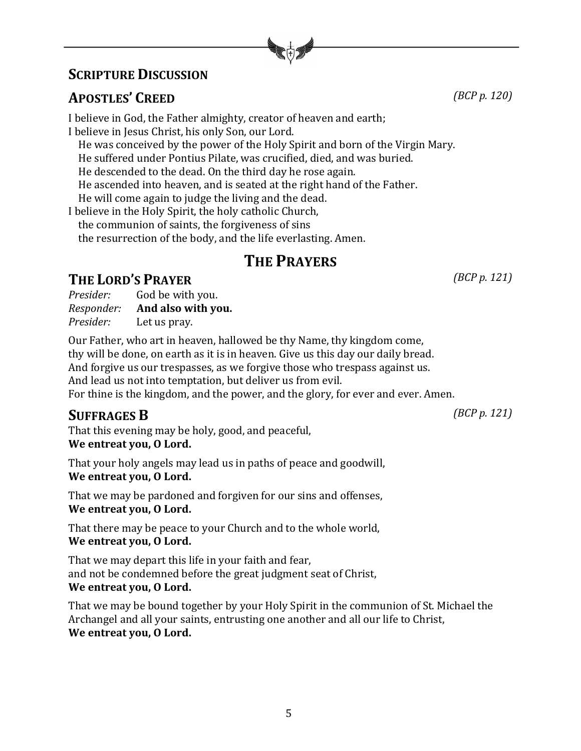# **SCRIPTURE DISCUSSION**

# **APOSTLES' CREED** *(BCP p. 120)*

I believe in God, the Father almighty, creator of heaven and earth;

I believe in Jesus Christ, his only Son, our Lord.

He was conceived by the power of the Holy Spirit and born of the Virgin Mary.

He suffered under Pontius Pilate, was crucified, died, and was buried.

He descended to the dead. On the third day he rose again.

He ascended into heaven, and is seated at the right hand of the Father.

He will come again to judge the living and the dead.

I believe in the Holy Spirit, the holy catholic Church,

the communion of saints, the forgiveness of sins

the resurrection of the body, and the life everlasting. Amen.

# **THE PRAYERS**

# **THE LORD'S PRAYER** *(BCP p. 121)*

*Presider:* God be with you. *Responder:* **And also with you.** *Presider:* Let us pray.

Our Father, who art in heaven, hallowed be thy Name, thy kingdom come, thy will be done, on earth as it is in heaven. Give us this day our daily bread. And forgive us our trespasses, as we forgive those who trespass against us. And lead us not into temptation, but deliver us from evil. For thine is the kingdom, and the power, and the glory, for ever and ever. Amen.

# **SUFFRAGES B** (*BCP p.* 121)

That this evening may be holy, good, and peaceful, We entreat you, O Lord.

That your holy angels may lead us in paths of peace and goodwill, We entreat you, O Lord.

That we may be pardoned and forgiven for our sins and offenses, We entreat you, O Lord.

That there may be peace to your Church and to the whole world, We entreat you, O Lord.

That we may depart this life in your faith and fear, and not be condemned before the great judgment seat of Christ, We entreat you, O Lord.

That we may be bound together by your Holy Spirit in the communion of St. Michael the Archangel and all your saints, entrusting one another and all our life to Christ, We entreat you, O Lord.